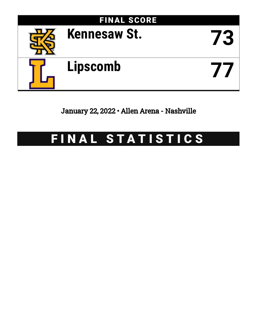

January 22, 2022 • Allen Arena - Nashville

# FINAL STATISTICS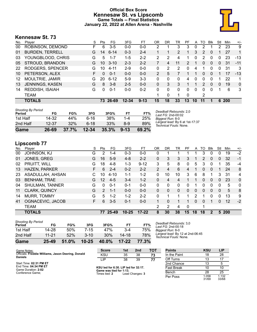# **Official Box Score Kennesaw St. vs Lipscomb Game Totals -- Final Statistics January 22, 2022 at Allen Arena - Nashville**



# **Kennesaw St. 73**

| No. | Plaver                 | S  | <b>Pts</b> | FG.      | 3FG       | FT       | OR | DR       | TR             | РF             | A        | TO            | <b>B</b> lk | Stl      | Min | $+/-$ |
|-----|------------------------|----|------------|----------|-----------|----------|----|----------|----------------|----------------|----------|---------------|-------------|----------|-----|-------|
| 00  | ROBINSON, DEMOND       | F  | 6          | $3 - 5$  | $0 - 0$   | $0 - 0$  | 2  |          | 3              | 3              | 0        | 2             |             | 2        | 23  | 9     |
| 01  | <b>BURDEN, TERRELL</b> | G  | 14         | $6 - 14$ | $0 - 3$   | $2 - 4$  |    |          | $\overline{2}$ |                | 3        | 2             | $\Omega$    |          | 27  | 1     |
| 03  | YOUNGBLOOD, CHRIS      | G  | 5          | $1 - 7$  | $1 - 5$   | $2 - 2$  | 2  | 2        | 4              |                | 0        | $\mathcal{P}$ | $\Omega$    | 0        | 23  | $-13$ |
| 05  | STROUD, BRANDON        | G  | 10         | $3 - 10$ | $2 - 3$   | $2 - 2$  |    | 4        | 11             | $\overline{2}$ |          | 0             | $\Omega$    | $\Omega$ | 31  | $-11$ |
| 22  | RODGERS, SPENCER       | G  | 10         | $4 - 11$ | $2-9$     | $0 - 0$  | 0  | 2        | 2              | 0              | 4        |               | 0           | 0        | 31  | 3     |
| 10  | PETERSON, ALEX         | F. | 0          | $0 - 1$  | $0 - 0$   | $0 - 0$  | 2  | 5        |                |                |          | 0             | $\Omega$    |          | 17  | $-13$ |
| 12  | <b>MOULTRIE, JAMIR</b> | G  | 20         | $6 - 12$ | $5-9$     | $3 - 3$  | 0  | 0        | 0              | 4              | 0        | 0             | $\Omega$    |          | 22  | 1     |
| 13  | JENNINGS, KASEN        | G  | 8          | $3 - 8$  | $2 - 5$   | $0 - 0$  | 0  | 3        | 3              | 1              |          | $\mathcal{P}$ | $\Omega$    | 0        | 19  | 0     |
| 14  | <b>REDDISH, ISAIAH</b> | G  | 0          | $0 - 1$  | $0 - 0$   | $0 - 2$  | 0  | $\Omega$ | 0              | $\Omega$       | $\Omega$ | 0             | $\Omega$    | 1        | 6   | 3     |
|     | <b>TEAM</b>            |    |            |          |           |          | 1  | $\Omega$ | 1              | 0              |          | 2             |             |          |     |       |
|     | <b>TOTALS</b>          |    | 73.        | - 26-69  | $12 - 34$ | $9 - 13$ | 15 | 18       | 33             | 13             | 10       | 11            |             | 6.       | 200 |       |
|     |                        |    |            |          |           |          |    |          |                |                |          |               |             |          |     |       |

| Game                                | 26-69 | 37.7% | $12 - 34$ | 35.3% | $9 - 13$ | 69.2% |
|-------------------------------------|-------|-------|-----------|-------|----------|-------|
| 2nd Half                            | 12-37 | 32%   | $6-18$    | 33%   | 8-9      | 89%   |
| 1st Half                            | 14-32 | 44%   | 6-16      | 38%   | 1-4      | 25%   |
| <b>Shooting By Period</b><br>Period | FG    | FG%   | 3FG       | 3FG%  | FT       | FT%   |

#### *Deadball Rebounds:* 2,0 *Last FG:* 2nd-00:02 *Biggest Run:* 8-0 *Largest lead:* By 6 at 1st-17:37 *Technical Fouls:* None.

# **Lipscomb 77**

*Shooting By Period*

| Player                 | S  | Pts               | FG       | 3FG       | FT        | 0R             | DR       | TR           | PF             | A        | то | Blk          | Stl      | Min | $+/-$        |
|------------------------|----|-------------------|----------|-----------|-----------|----------------|----------|--------------|----------------|----------|----|--------------|----------|-----|--------------|
| JOHNSON, KJ            | G  | 2                 | $1 - 4$  | $0 - 3$   | $0-0$     | 0              |          |              |                |          | 3  | 0            | $\Omega$ | 19  | $-2$         |
| JONES, GREG            | G  | 16                | $5-9$    | $4 - 8$   | $2 - 2$   | 0              | 3        | 3            | 3              |          | 2  | $\mathbf{0}$ | 0        | 32  | $-1$         |
| PRUITT, WILL           | G  | 18                | $4 - 8$  | 1-3       | $9 - 12$  | 3              | 5        | 8            | 0              | 5        | 3  | 0            |          | 35  | -4           |
| <b>HAZEN, PARKER</b>   | F. | 6                 | $2 - 4$  | $0 - 2$   | $2 - 2$   | $\overline{2}$ | 4        | 6            | 4              | 1        | 0  | $\Omega$     |          | 24  | 8            |
| ASADULLAH, AHSAN       | C. | 10                | $4 - 10$ | $1 - 1$   | $1 - 2$   | 0              | 10       | 10           | 3              | 6        | 8  |              | 3        | 31  | 4            |
| <b>BENHAM, TRAE</b>    | G  | $12 \overline{ }$ | $4 - 5$  | $3 - 4$   | $1 - 2$   | $\Omega$       | 4        | 4            |                |          | 0  | $\Omega$     | $\Omega$ | 23  | $\mathbf{0}$ |
| <b>SHULMAN, TANNER</b> | G  | 0                 | $0 - 1$  | $0 - 1$   | $0 - 0$   | 0              | $\Omega$ | $\Omega$     | 0              |          | 0  | $\Omega$     | 0        | 5   | $\mathbf{0}$ |
| <b>CLARK, QUINCY</b>   | G  | $\mathcal{P}$     | $1 - 1$  | $0 - 0$   | $0 - 0$   | 0              | 0        | $\mathbf{0}$ | $\overline{0}$ | 0        | 0  | 0            | 0        | 5   | 8            |
| MURR, TOMMY            | G  | 5                 | $1 - 2$  | $1-2$     | $2 - 2$   | 0              |          |              |                | 2        |    | 0            | 0        | 13  | 9            |
| OGNACEVIC, JACOB       | F. | 6                 | $3 - 5$  | $0 - 1$   | $0 - 0$   | 1.             | 0        |              |                | $\Omega$ | 0  |              | $\Omega$ | 12  | $-2$         |
| <b>TEAM</b>            |    |                   |          |           |           | 2              | 2        | 4            | $\Omega$       |          | 1  |              |          |     |              |
| <b>TOTALS</b>          |    | 77                |          | $10 - 25$ | $17 - 22$ | 8              | 30       | 38           | 15             | 18       | 18 | $\mathbf{2}$ | 5        |     |              |
|                        |    |                   |          | $25 - 49$ |           |                |          |              |                |          |    |              |          |     | <b>200</b>   |

| Game                         | $25 - 49$ | 51.0% | $10 - 25$ | 40.0%  | $17 - 22$ | 77.3% |
|------------------------------|-----------|-------|-----------|--------|-----------|-------|
| 2nd Half                     | 11-21     | 52%   | $3 - 10$  | $30\%$ | 14-18     | 78%   |
| 1st Half                     | 14-28     | 50%   | 7-15      | 47%    | $3-4$     | 75%   |
| Shooting By Period<br>Period | FG        | FG%   | 3FG       | 3FG%   | FТ        | FT%   |

*Deadball Rebounds:* 3,0 *Last FG:* 2nd-00:18 *Biggest Run:* 8-0 *Largest lead:* By 12 at 2nd-06:45 *Technical Fouls:* None.

| Game Notes:                                                   | <b>Score</b>                             | 1st | 2 <sub>nd</sub> | тот               | <b>Points</b> | <b>KSU</b>     | <b>LIP</b>     |
|---------------------------------------------------------------|------------------------------------------|-----|-----------------|-------------------|---------------|----------------|----------------|
| Officials: Freddie Williams, Jason Deering, Donald<br>Daniels | <b>KSU</b>                               | 35  | 38              | 73                | In the Paint  | 18             | 28             |
|                                                               | LIP                                      | 38  | 39              | 77                | Off Turns     |                | 17             |
| Start Time: 02:31 PM ET                                       |                                          |     |                 |                   | 2nd Chance    |                |                |
| End Time: 04:34 PM ET<br>Game Duration: 2:02                  | KSU led for 6:30. LIP led for 32:17.     |     |                 | <b>Fast Break</b> |               | 10             |                |
| Conference Game:                                              | Game was tied for 1:13.<br>Times tied: 2 |     | Lead Changes: 3 |                   | Bench         | 28             | 25             |
|                                                               |                                          |     |                 |                   | Per Poss      | 1.058<br>31/69 | 1.132<br>33/68 |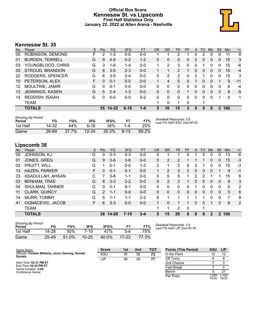## **Official Box Score Kennesaw St. vs Lipscomb First Half Statistics Only January 22, 2022 at Allen Arena - Nashville**



# **Kennesaw St. 35**

| No. | Player                 | S  | <b>Pts</b>    | FG       | 3FG      | <b>FT</b> | <b>OR</b> | <b>DR</b> | TR | <b>PF</b> | A | TO           | <b>Blk</b>   | Stl            | Min | $+/-$ |
|-----|------------------------|----|---------------|----------|----------|-----------|-----------|-----------|----|-----------|---|--------------|--------------|----------------|-----|-------|
| 00  | ROBINSON, DEMOND       | F  | $\mathcal{P}$ | $1 - 2$  | $0 - 0$  | $0 - 0$   |           |           | 2  |           | 0 | 2            | 0            | 0              | 11  | 8     |
| 01  | <b>BURDEN, TERRELL</b> | G  | 9             | $4 - 8$  | $0 - 2$  | $1 - 2$   | 0         | 0         | 0  | 0         | 2 | $\Omega$     | 0            | 0              | 15  | 3     |
| 03  | YOUNGBLOOD, CHRIS      | G  | 3             | $1 - 6$  | $1 - 4$  | $0 - 0$   |           | 2         | 3  | 0         | 0 |              | 0            | 0              | 15  | -6    |
| 05  | STROUD, BRANDON        | G  | 8             | $3 - 5$  | $2 - 3$  | $0 - 0$   |           | 1         | 2  | 1         | 0 | $\mathbf{0}$ | $\mathbf{0}$ | $\Omega$       | 16  | $-4$  |
| 22  | RODGERS, SPENCER       | G  | 8             | $3-5$    | $2 - 4$  | $0 - 0$   | 0         | 2         | 2  | 0         | 2 |              | 0            | $\Omega$       | 15  | 3     |
| 10  | PETERSON, ALEX         | F. | 0             | $0 - 1$  | $0 - 0$  | $0-0$     |           | 4         | 5. | 0         |   | 0            | 0            | 1              | 9   | $-11$ |
| 12  | MOULTRIE, JAMIR        | G  | 0             | $0 - 1$  | $0 - 0$  | $0 - 0$   | 0         | 0         | 0  | 0         | 0 | 0            | 0            | 0              | 6   | $-4$  |
| 13  | JENNINGS, KASEN        | G  | 5             | $2 - 4$  | $1 - 3$  | $0 - 0$   | 0         | $\Omega$  | 0  |           | 0 | 0            | 0            | 0              | 8   | $-5$  |
| 14  | REDDISH, ISAIAH        | G  | 0             | $0 - 0$  | $0 - 0$  | $0 - 2$   | 0         | 0         | 0  | 0         | 0 | $\Omega$     | $\Omega$     | 1              | 4   | 1     |
|     | <b>TEAM</b>            |    |               |          |          |           |           | 0         | 1  | 0         |   |              |              |                |     |       |
|     | <b>TOTALS</b>          |    |               | 35 14-32 | $6 - 16$ | $1 - 4$   | 5         | 10        | 15 | 3         | 5 | 5            | 0            | $\overline{2}$ | 100 |       |

| <b>Shooting By Period</b><br>Period | FG        | FG%   | 3FG       | 3FG%  | F1       | FT%   | Deadball Rebounds: 2,0<br>Last FG Half: KSU 2nd-00:02 |
|-------------------------------------|-----------|-------|-----------|-------|----------|-------|-------------------------------------------------------|
| 1st Half                            | 14-32     | 44%   | ჩ-1ჩ      | 38%   | $1 - 4$  | 25%   |                                                       |
| Game                                | $26 - 69$ | 37.7% | $12 - 34$ | 35.3% | $9 - 13$ | 69.2% |                                                       |

# **Lipscomb 38**

| No. | Plaver                 | S  | <b>Pts</b>    | <b>FG</b> | 3FG      | <b>FT</b> | <b>OR</b>    | <b>DR</b> | <b>TR</b>    | PF       | A | TO | <b>Blk</b>   | Stl            | Min | $+/-$ |
|-----|------------------------|----|---------------|-----------|----------|-----------|--------------|-----------|--------------|----------|---|----|--------------|----------------|-----|-------|
| 00  | JOHNSON, KJ            | G  | 0             | $0 - 3$   | $0 - 3$  | $0 - 0$   | 0            |           |              | 0        |   | 2  | 0            | O              | 13  | -6    |
| 01  | JONES, GREG            | G  | 9             | $3 - 6$   | $3-6$    | $0 - 0$   | $\Omega$     | 2         | 2            |          |   |    | 0            | 0              | 15  | $-3$  |
| 02  | PRUITT, WILL           | G  |               | $0 - 1$   | $0-0$    | $1 - 2$   | 2            |           | 3            | 0        | 2 |    | 0            | 0              | 15  | -3    |
| 13  | <b>HAZEN, PARKER</b>   | F  | 0             | $0 - 1$   | $0 - 1$  | $0 - 0$   | $\mathbf 1$  | 2         | 3            | 2        | 0 | 0  | 0            |                | 9   | $-1$  |
| 23  | ASADULLAH, AHSAN       | C  | 7             | 3-8       | $1 - 1$  | $0 - 0$   | $\Omega$     | 5         | 5            |          | 2 | 2  |              |                | 15  | 6     |
| 03  | <b>BENHAM, TRAE</b>    | G  | 8             | $3 - 3$   | $2 - 2$  | $0 - 0$   | $\Omega$     | 2         | 2            |          | 0 | 0  | $\mathbf{0}$ | 0              | 9   | 3     |
| 04  | <b>SHULMAN, TANNER</b> | G  | 0             | $0 - 1$   | $0 - 1$  | $0-0$     | $\mathbf{0}$ | 0         | 0            | 0        | 1 | 0  | 0            | 0              | 5   | 2     |
| 11  | <b>CLARK, QUINCY</b>   | G  | $\mathcal{P}$ | $1 - 1$   | $0 - 0$  | $0 - 0$   | 0            | 0         | $\mathbf{0}$ | $\Omega$ | 0 | 0  | $\mathbf{0}$ | 0              | 5   | 6     |
| 14  | MURR, TOMMY            | G  | 5             | $1 - 1$   | $1 - 1$  | $2 - 2$   | $\Omega$     |           |              |          | 1 | 1  | 0            | 0              | 7   | 9     |
| 41  | OGNACEVIC, JACOB       | F. | 6             | $3 - 3$   | $0 - 0$  | $0 - 0$   | 1            | 0         |              |          | 0 | 0  |              | 0              | 8   | 2     |
|     | <b>TEAM</b>            |    |               |           |          |           | 1.           | 1         | 2            | $\Omega$ |   | 1  |              |                |     |       |
|     | <b>TOTALS</b>          |    | 38            | $14-28$   | $7 - 15$ | $3 - 4$   | 5.           | 15        | 20           | 8        | 8 | 8  | 2            | $\overline{2}$ | 100 |       |

| <b>Shooting By Period</b><br>Period | FG    | FG%   | 3FG       | 3FG%  | FТ        | FT%   |
|-------------------------------------|-------|-------|-----------|-------|-----------|-------|
| 1st Half                            | 14-28 | .50%  | $7 - 15$  | 47%   | $3-4$     | 75%   |
| Game                                | 25-49 | 51.0% | $10 - 25$ | 40.0% | $17 - 22$ | 77.3% |

*Deadball Rebounds:* 3,0 *Last FG Half:* LIP 2nd-00:18

| Game Notes:                                                          | <b>Score</b> | 1st | 2 <sub>nd</sub> | <b>TOT</b> | <b>Points (This Period)</b> | <b>KSU</b>    | <b>LIP</b>     |
|----------------------------------------------------------------------|--------------|-----|-----------------|------------|-----------------------------|---------------|----------------|
| Officials: Freddie Williams, Jason Deering, Donald<br><b>Daniels</b> | KSU          | 35  | 38              | 73         | In the Paint                |               | 12             |
|                                                                      | <b>LIP</b>   | 38  | 39              | 77         | Off Turns                   |               |                |
| Start Time: 02:31 PM ET                                              |              |     |                 |            | 2nd Chance                  |               |                |
| End Time: 04:34 PM ET<br>Game Duration: 2:02                         |              |     |                 |            | <b>Fast Break</b>           |               |                |
| Conference Game:                                                     |              |     |                 |            | Bench                       |               | 21             |
|                                                                      |              |     |                 |            | Per Poss                    | .029<br>15/34 | 1.152<br>16/33 |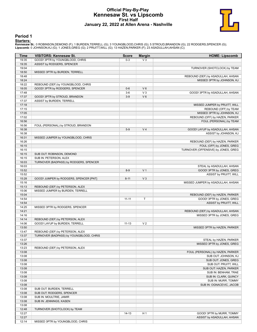## **Official Play-By-Play Kennesaw St. vs Lipscomb First Half January 22, 2022 at Allen Arena - Nashville**



#### **Period 1**

**Starters:**<br>Kennesaw St.: 0 ROBINSON,DEMOND (F); 1 BURDEN,TERRELL (G); 3 YOUNGBLOOD,CHRIS (G); 5 STROUD,BRANDON (G); 22 RODGERS,SPENCER (G);<br>Lipscomb: 0 JOHNSON,KJ (G); 1 JONES,GREG (G); 2 PRUITT,WILL (G); 13 HAZEN,PARKER

| Time           | <b>VISITORS: Kennesaw St.</b>           | <b>Score</b> | <b>Margin</b>  | <b>HOME: Lipscomb</b>                        |
|----------------|-----------------------------------------|--------------|----------------|----------------------------------------------|
| 19:35          | GOOD! 3PTR by YOUNGBLOOD, CHRIS         | $0-3$        | $V_3$          |                                              |
| 19:35          | ASSIST by RODGERS, SPENCER              |              |                |                                              |
| 19:04          |                                         |              |                | TURNOVER (SHOTCLOCK) by TEAM                 |
| 18:50          | MISSED 3PTR by BURDEN, TERRELL          |              |                |                                              |
| 18:48          |                                         |              |                | REBOUND (DEF) by ASADULLAH, AHSAN            |
| 18:24          |                                         |              |                | MISSED 3PTR by JOHNSON, KJ                   |
| 18:22          | REBOUND (DEF) by YOUNGBLOOD, CHRIS      |              |                |                                              |
| 18:05          | GOOD! 3PTR by RODGERS, SPENCER          | $0-6$        | $V_6$          |                                              |
| 17:48          |                                         | $3-6$        | $V_3$          | GOOD! 3PTR by ASADULLAH, AHSAN               |
| 17:37          | GOOD! 3PTR by STROUD, BRANDON           | $3-9$        | $V_6$          |                                              |
| 17:37          | ASSIST by BURDEN, TERRELL               |              |                |                                              |
| 17:18          |                                         |              |                | MISSED JUMPER by PRUITT, WILL                |
| 17:15          |                                         |              |                | REBOUND (OFF) by TEAM                        |
| 17:05          |                                         |              |                | MISSED 3PTR by JOHNSON, KJ                   |
| 17:02          |                                         |              |                | REBOUND (OFF) by HAZEN, PARKER               |
| 16:56          |                                         |              |                | FOUL (PERSONAL) by TEAM                      |
| 16:56          | FOUL (PERSONAL) by STROUD, BRANDON      |              |                |                                              |
| 16:38          |                                         | $5-9$        | V <sub>4</sub> | GOOD! LAYUP by ASADULLAH, AHSAN              |
| 16:38          |                                         |              |                | ASSIST by JOHNSON, KJ                        |
| 16:31          | MISSED JUMPER by YOUNGBLOOD, CHRIS      |              |                |                                              |
| 16:26          |                                         |              |                | REBOUND (DEF) by HAZEN, PARKER               |
| 16:15          |                                         |              |                | FOUL (OFF) by JONES, GREG                    |
| 16:15          |                                         |              |                | TURNOVER (OFFENSIVE) by JONES, GREG          |
| 16:15          | SUB OUT: ROBINSON, DEMOND               |              |                |                                              |
| 16:15          | SUB IN: PETERSON, ALEX                  |              |                |                                              |
| 16:03          | TURNOVER (BADPASS) by RODGERS, SPENCER  |              |                |                                              |
| 16:03          |                                         |              |                | STEAL by ASADULLAH, AHSAN                    |
| 15:52          |                                         | $8-9$        | V <sub>1</sub> | GOOD! 3PTR by JONES, GREG                    |
| 15:52          |                                         |              |                | ASSIST by PRUITT, WILL                       |
| 15:28          | GOOD! JUMPER by RODGERS, SPENCER [PNT]  | $8 - 11$     | $V_3$          |                                              |
| 15:16          |                                         |              |                | MISSED JUMPER by ASADULLAH, AHSAN            |
| 15:13          | REBOUND (DEF) by PETERSON, ALEX         |              |                |                                              |
| 15:06          | MISSED JUMPER by BURDEN, TERRELL        |              |                |                                              |
| 15:04          |                                         |              |                | REBOUND (DEF) by HAZEN, PARKER               |
| 14:54          |                                         | $11 - 11$    | $\mathsf T$    | GOOD! 3PTR by JONES, GREG                    |
| 14:54          |                                         |              |                | <b>ASSIST by PRUITT, WILL</b>                |
| 14:25          | MISSED 3PTR by RODGERS, SPENCER         |              |                |                                              |
| 14:21          |                                         |              |                | REBOUND (DEF) by ASADULLAH, AHSAN            |
| 14:16          |                                         |              |                | MISSED 3PTR by JONES, GREG                   |
| 14:14          | REBOUND (DEF) by PETERSON, ALEX         |              |                |                                              |
| 14:06          | GOOD! LAYUP by BURDEN, TERRELL          | $11 - 13$    | V <sub>2</sub> |                                              |
| 13:50          |                                         |              |                | MISSED 3PTR by HAZEN, PARKER                 |
| 13:47          | REBOUND (DEF) by PETERSON, ALEX         |              |                |                                              |
| 13:37          | TURNOVER (BADPASS) by YOUNGBLOOD, CHRIS |              |                |                                              |
| 13:37          |                                         |              |                | STEAL by HAZEN, PARKER                       |
| 13:26          |                                         |              |                | MISSED 3PTR by JONES, GREG                   |
| 13:23          | REBOUND (DEF) by PETERSON, ALEX         |              |                | FOUL (PERSONAL) by HAZEN, PARKER             |
| 13:08          |                                         |              |                |                                              |
| 13:08<br>13:08 |                                         |              |                | SUB OUT: JOHNSON, KJ<br>SUB OUT: JONES, GREG |
| 13:08          |                                         |              |                | SUB OUT: PRUITT, WILL                        |
| 13:08          |                                         |              |                | SUB OUT: HAZEN, PARKER                       |
| 13:08          |                                         |              |                | SUB IN: BENHAM, TRAE                         |
| 13:08          |                                         |              |                | SUB IN: CLARK, QUINCY                        |
| 13:08          |                                         |              |                | SUB IN: MURR, TOMMY                          |
| 13:08          |                                         |              |                | SUB IN: OGNACEVIC, JACOB                     |
| 13:08          | SUB OUT: BURDEN, TERRELL                |              |                |                                              |
| 13:08          | SUB OUT: RODGERS, SPENCER               |              |                |                                              |
| 13:08          | SUB IN: MOULTRIE, JAMIR                 |              |                |                                              |
| 13:08          | SUB IN: JENNINGS, KASEN                 |              |                |                                              |
| 13:08          |                                         |              |                |                                              |
| 12:48          | TURNOVER (SHOTCLOCK) by TEAM            |              |                |                                              |
| 12:27          |                                         | $14 - 13$    | H <sub>1</sub> | GOOD! 3PTR by MURR, TOMMY                    |
| 12:27          |                                         |              |                | ASSIST by ASADULLAH, AHSAN                   |
| 12:14          | MISSED 3PTR by YOUNGBLOOD, CHRIS        |              |                |                                              |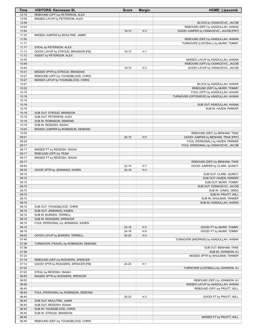| Time           | <b>VISITORS: Kennesaw St.</b>                                | <b>Score</b> | <b>Margin</b>  | <b>HOME: Lipscomb</b>                                                       |
|----------------|--------------------------------------------------------------|--------------|----------------|-----------------------------------------------------------------------------|
| 12:10          | REBOUND (OFF) by PETERSON, ALEX                              |              |                |                                                                             |
| 12:08          | MISSED LAYUP by PETERSON, ALEX                               |              |                |                                                                             |
| 12:08          |                                                              |              |                | BLOCK by OGNACEVIC, JACOB                                                   |
| 12:03<br>11:54 |                                                              | $16-13$      | $H_3$          | REBOUND (DEF) by ASADULLAH, AHSAN<br>GOOD! JUMPER by OGNACEVIC, JACOB [PNT] |
| 11:33          | MISSED JUMPER by MOULTRIE, JAMIR                             |              |                |                                                                             |
| 11:30          |                                                              |              |                | REBOUND (DEF) by ASADULLAH, AHSAN                                           |
| 11:17          |                                                              |              |                | TURNOVER (LOSTBALL) by MURR, TOMMY                                          |
| 11:17          | STEAL by PETERSON, ALEX                                      |              |                |                                                                             |
| 11:13          | GOOD! LAYUP by STROUD, BRANDON [FB]                          | $16 - 15$    | H <sub>1</sub> |                                                                             |
| 11:13          | ASSIST by PETERSON, ALEX                                     |              |                |                                                                             |
| 10:55<br>10:49 |                                                              |              |                | MISSED LAYUP by ASADULLAH, AHSAN<br>REBOUND (OFF) by OGNACEVIC, JACOB       |
| 10:49          |                                                              | $18 - 15$    | $H_3$          | GOOD! LAYUP by OGNACEVIC, JACOB                                             |
| 10:31          | MISSED 3PTR by STROUD, BRANDON                               |              |                |                                                                             |
| 10:27          | REBOUND (OFF) by YOUNGBLOOD, CHRIS                           |              |                |                                                                             |
| 10:27          | MISSED LAYUP by YOUNGBLOOD, CHRIS                            |              |                |                                                                             |
| 10:27          |                                                              |              |                | BLOCK by ASADULLAH, AHSAN                                                   |
| 10:22          |                                                              |              |                | REBOUND (DEF) by MURR, TOMMY                                                |
| 10:19<br>10:19 |                                                              |              |                | FOUL (OFF) by ASADULLAH, AHSAN<br>TURNOVER (OFFENSIVE) by ASADULLAH, AHSAN  |
| 10:19          |                                                              |              |                |                                                                             |
| 10:19          |                                                              |              |                | SUB OUT: ASADULLAH, AHSAN                                                   |
| 10:19          |                                                              |              |                | SUB IN: HAZEN, PARKER                                                       |
| 10:19          | SUB OUT: STROUD, BRANDON                                     |              |                |                                                                             |
| 10:19          | SUB OUT: PETERSON, ALEX                                      |              |                |                                                                             |
| 10:19          | SUB IN: ROBINSON, DEMOND                                     |              |                |                                                                             |
| 10:19<br>10:03 | SUB IN: REDDISH, ISAIAH<br>MISSED JUMPER by ROBINSON, DEMOND |              |                |                                                                             |
| 10:00          |                                                              |              |                | REBOUND (DEF) by BENHAM, TRAE                                               |
| 09:51          |                                                              | $20 - 15$    | H <sub>5</sub> | GOOD! JUMPER by BENHAM, TRAE [PNT]                                          |
| 09:29          |                                                              |              |                | FOUL (PERSONAL) by HAZEN, PARKER                                            |
| 09:17          |                                                              |              |                | FOUL (PERSONAL) by OGNACEVIC, JACOB                                         |
| 09:17          | MISSED FT by REDDISH, ISAIAH                                 |              |                |                                                                             |
| 09:17<br>09:17 | REBOUND (OFF) by TEAM<br>MISSED FT by REDDISH, ISAIAH        |              |                |                                                                             |
| 09:17          |                                                              |              |                | REBOUND (DEF) by BENHAM, TRAE                                               |
| 08:52          |                                                              | $22 - 15$    | H 7            | GOOD! JUMPER by CLARK, QUINCY                                               |
| 08:32          | GOOD! 3PTR by JENNINGS, KASEN                                | $22 - 18$    | H4             |                                                                             |
| 08:15          |                                                              |              |                | SUB OUT: CLARK, QUINCY                                                      |
| 08:15          |                                                              |              |                | SUB OUT: HAZEN, PARKER                                                      |
| 08:15<br>08:15 |                                                              |              |                | SUB OUT: MURR, TOMMY<br>SUB OUT: OGNACEVIC, JACOB                           |
| 08:15          |                                                              |              |                | SUB IN: JONES, GREG                                                         |
| 08:15          |                                                              |              |                | SUB IN: PRUITT, WILL                                                        |
| 08:15          |                                                              |              |                | SUB IN: SHULMAN, TANNER                                                     |
| 08:15          |                                                              |              |                | SUB IN: ASADULLAH, AHSAN                                                    |
| 08:15          | SUB OUT: YOUNGBLOOD, CHRIS                                   |              |                |                                                                             |
| 08:15<br>08:15 | SUB OUT: JENNINGS, KASEN<br>SUB IN: BURDEN, TERRELL          |              |                |                                                                             |
| 08:15          | SUB IN: RODGERS, SPENCER                                     |              |                |                                                                             |
| 08:15          | FOUL (PERSONAL) by JENNINGS, KASEN                           |              |                |                                                                             |
| 08:15          |                                                              | $23-18$      | H <sub>5</sub> | GOOD! FT by MURR, TOMMY                                                     |
| 08:15          |                                                              | $24 - 18$    | H <sub>6</sub> | GOOD! FT by MURR, TOMMY                                                     |
| 08:05          | GOOD! LAYUP by BURDEN, TERRELL                               | 24-20        | H 4            |                                                                             |
| 07:49          |                                                              |              |                | TURNOVER (BADPASS) by ASADULLAH, AHSAN                                      |
| 07:36<br>07:36 | TURNOVER (TRAVEL) by ROBINSON, DEMOND                        |              |                | SUB OUT: BENHAM, TRAE                                                       |
| 07:36          |                                                              |              |                | SUB IN: JOHNSON, KJ                                                         |
| 07:23          |                                                              |              |                | MISSED 3PTR by SHULMAN, TANNER                                              |
| 07:19          | REBOUND (DEF) by RODGERS, SPENCER                            |              |                |                                                                             |
| 07:14          | GOOD! 3PTR by RODGERS, SPENCER [FB]                          | 24-23        | H <sub>1</sub> |                                                                             |
| 07:02          |                                                              |              |                | TURNOVER (LOSTBALL) by JOHNSON, KJ                                          |
| 07:02          | STEAL by REDDISH, ISAIAH                                     |              |                |                                                                             |
| 06:55<br>06:52 | MISSED 3PTR by RODGERS, SPENCER                              |              |                | REBOUND (DEF) by JOHNSON, KJ                                                |
| 06:48          |                                                              |              |                | MISSED LAYUP by ASADULLAH, AHSAN                                            |
| 06:45          |                                                              |              |                | REBOUND (OFF) by PRUITT, WILL                                               |
| 06:45          | FOUL (PERSONAL) by ROBINSON, DEMOND                          |              |                |                                                                             |
| 06:45          |                                                              | 25-23        | H <sub>2</sub> | GOOD! FT by PRUITT, WILL                                                    |
| 06:45          | SUB OUT: MOULTRIE, JAMIR                                     |              |                |                                                                             |
| 06:45          | SUB OUT: REDDISH, ISAIAH                                     |              |                |                                                                             |
| 06:45<br>06:45 | SUB IN: YOUNGBLOOD, CHRIS<br>SUB IN: STROUD, BRANDON         |              |                |                                                                             |
| 06:45          |                                                              |              |                | MISSED FT by PRUITT, WILL                                                   |
| 06:45          | REBOUND (DEF) by YOUNGBLOOD, CHRIS                           |              |                |                                                                             |
|                |                                                              |              |                |                                                                             |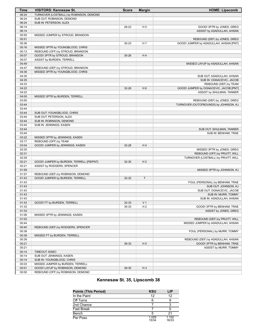| <b>Time</b>    | <b>VISITORS: Kennesaw St.</b>                              | <b>Score</b>   | <b>Margin</b>                    | <b>HOME: Lipscomb</b>                  |
|----------------|------------------------------------------------------------|----------------|----------------------------------|----------------------------------------|
| 06:24          | TURNOVER (LOSTBALL) by ROBINSON, DEMOND                    |                |                                  |                                        |
| 06:24          | SUB OUT: ROBINSON, DEMOND                                  |                |                                  |                                        |
| 06:24          | SUB IN: PETERSON, ALEX                                     |                |                                  |                                        |
| 06:14          |                                                            | 28-23          | H <sub>5</sub>                   | GOOD! 3PTR by JONES, GREG              |
| 06:14          |                                                            |                |                                  | ASSIST by ASADULLAH, AHSAN             |
| 05:55          | MISSED JUMPER by STROUD, BRANDON                           |                |                                  |                                        |
| 05:51          |                                                            |                |                                  | REBOUND (DEF) by JONES, GREG           |
| 05:36          |                                                            | $30 - 23$      | H 7                              | GOOD! JUMPER by ASADULLAH, AHSAN [PNT] |
| 05:16          | MISSED 3PTR by YOUNGBLOOD, CHRIS                           |                |                                  |                                        |
| 05:13          | REBOUND (OFF) by STROUD, BRANDON                           |                |                                  |                                        |
| 05:07<br>05:07 | GOOD! 3PTR by STROUD, BRANDON<br>ASSIST by BURDEN, TERRELL | $30 - 26$      | H4                               |                                        |
| 04:49          |                                                            |                |                                  | MISSED LAYUP by ASADULLAH, AHSAN       |
| 04:47          | REBOUND (DEF) by STROUD, BRANDON                           |                |                                  |                                        |
| 04:36          | MISSED 3PTR by YOUNGBLOOD, CHRIS                           |                |                                  |                                        |
| 04:35          |                                                            |                |                                  | SUB OUT: ASADULLAH, AHSAN              |
| 04:35          |                                                            |                |                                  | SUB IN: OGNACEVIC, JACOB               |
| 04:33          |                                                            |                |                                  | REBOUND (DEF) by TEAM                  |
| 04:22          |                                                            | 32-26          | H <sub>6</sub>                   | GOOD! JUMPER by OGNACEVIC, JACOB [PNT] |
| 04:22          |                                                            |                |                                  | ASSIST by SHULMAN, TANNER              |
| 04:00          | MISSED 3PTR by BURDEN, TERRELL                             |                |                                  |                                        |
| 03:55          |                                                            |                |                                  | REBOUND (DEF) by JONES, GREG           |
| 03:44          |                                                            |                |                                  | TURNOVER (OUTOFBOUNDS) by JOHNSON, KJ  |
| 03:44          |                                                            |                |                                  |                                        |
| 03:44          | SUB OUT: YOUNGBLOOD, CHRIS                                 |                |                                  |                                        |
| 03:44          | SUB OUT: PETERSON, ALEX                                    |                |                                  |                                        |
| 03:44          | SUB IN: ROBINSON, DEMOND                                   |                |                                  |                                        |
| 03:44          | SUB IN: JENNINGS, KASEN                                    |                |                                  |                                        |
| 03:44<br>03:44 |                                                            |                |                                  | SUB OUT: SHULMAN, TANNER               |
| 03:22          | MISSED 3PTR by JENNINGS, KASEN                             |                |                                  | SUB IN: BENHAM, TRAE                   |
| 03:17          | REBOUND (OFF) by TEAM                                      |                |                                  |                                        |
| 03:04          | GOOD! JUMPER by JENNINGS, KASEN                            | 32-28          | H4                               |                                        |
| 02:35          |                                                            |                |                                  | MISSED 3PTR by JONES, GREG             |
| 02:31          |                                                            |                |                                  | REBOUND (OFF) by PRUITT, WILL          |
| 02:29          |                                                            |                |                                  | TURNOVER (LOSTBALL) by PRUITT, WILL    |
| 02:21          | GOOD! JUMPER by BURDEN, TERRELL [FB/PNT]                   | 32-30          | H <sub>2</sub>                   |                                        |
| 02:21          | ASSIST by RODGERS, SPENCER                                 |                |                                  |                                        |
| 01:59          |                                                            |                |                                  | MISSED 3PTR by JOHNSON, KJ             |
| 01:57          | REBOUND (DEF) by ROBINSON, DEMOND                          |                |                                  |                                        |
| 01:43          | GOOD! JUMPER by BURDEN, TERRELL                            | 32-32          | $\mathsf T$                      |                                        |
| 01:43          |                                                            |                |                                  | FOUL (PERSONAL) by BENHAM, TRAE        |
| 01:43          |                                                            |                |                                  | SUB OUT: JOHNSON, KJ                   |
| 01:43          |                                                            |                |                                  | SUB OUT: OGNACEVIC, JACOB              |
| 01:43          |                                                            |                |                                  | SUB IN: MURR, TOMMY                    |
| 01:43          |                                                            |                |                                  | SUB IN: ASADULLAH, AHSAN               |
| 01:43<br>01:33 | GOOD! FT by BURDEN, TERRELL                                | 32-33<br>35-33 | V <sub>1</sub><br>H <sub>2</sub> | GOOD! 3PTR by BENHAM, TRAE             |
| 01:33          |                                                            |                |                                  | ASSIST by JONES, GREG                  |
| 01:06          | MISSED 3PTR by JENNINGS, KASEN                             |                |                                  |                                        |
| 01:02          |                                                            |                |                                  | REBOUND (DEF) by PRUITT, WILL          |
| 00:44          |                                                            |                |                                  | MISSED JUMPER by ASADULLAH, AHSAN      |
| 00:40          | REBOUND (DEF) by RODGERS, SPENCER                          |                |                                  |                                        |
| 00:39          |                                                            |                |                                  | FOUL (PERSONAL) by MURR, TOMMY         |
| 00:39          | MISSED FT by BURDEN, TERRELL                               |                |                                  |                                        |
| 00:39          |                                                            |                |                                  | REBOUND (DEF) by ASADULLAH, AHSAN      |
| 00:21          |                                                            | 38-33          | H <sub>5</sub>                   | GOOD! 3PTR by BENHAM, TRAE             |
| 00:21          |                                                            |                |                                  | ASSIST by MURR, TOMMY                  |
| 00:14          | TIMEOUT 30SEC                                              |                |                                  |                                        |
| 00:14          | SUB OUT: JENNINGS, KASEN                                   |                |                                  |                                        |
| 00:14          | SUB IN: YOUNGBLOOD, CHRIS                                  |                |                                  |                                        |
| 00:03          | MISSED JUMPER by BURDEN, TERRELL                           |                |                                  |                                        |
| 00:01          | GOOD! LAYUP by ROBINSON, DEMOND                            | 38-35          | $H_3$                            |                                        |
| 00:00          | REBOUND (OFF) by ROBINSON, DEMOND                          |                |                                  |                                        |

# **Kennesaw St. 35, Lipscomb 38**

| <b>Points (This Period)</b> | <b>KSU</b>     | LIP            |
|-----------------------------|----------------|----------------|
| In the Paint                | 12             | 12             |
| Off Turns                   |                |                |
| 2nd Chance                  |                |                |
| Fast Break                  |                |                |
| Bench                       |                | 21             |
| Per Poss                    | 1.029<br>15/34 | 1.152<br>16/33 |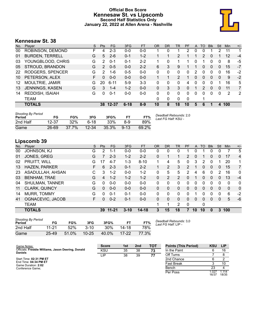# **Official Box Score Kennesaw St. vs Lipscomb Second Half Statistics Only January 22, 2022 at Allen Arena - Nashville**



# **Kennesaw St. 38**

| No. | Plaver                 | S  | <b>Pts</b> | <b>FG</b> | 3FG      | <b>FT</b> | 0R | <b>DR</b> | TR | PF       | A | TO            | <b>B</b> lk | Stl | <b>Min</b>        | $+/-$ |
|-----|------------------------|----|------------|-----------|----------|-----------|----|-----------|----|----------|---|---------------|-------------|-----|-------------------|-------|
| 00  | ROBINSON, DEMOND       | F  | 4          | $2 - 3$   | $0 - 0$  | $0-0$     |    | 0         |    | 2        | 0 | 0             |             | 2   | 11                | 1     |
| 01  | <b>BURDEN, TERRELL</b> | G  | 5          | $2 - 6$   | $0 - 1$  | $1 - 2$   |    |           | 2  |          |   | $\mathcal{P}$ | 0           |     | $12 \overline{ }$ | $-4$  |
| 03  | YOUNGBLOOD, CHRIS      | G  | 2          | $0 - 1$   | $0 - 1$  | $2 - 2$   |    | $\Omega$  |    |          | 0 |               | 0           | 0   | 8                 | -5    |
| 05  | STROUD, BRANDON        | G  | 2          | $0 - 5$   | $0 - 0$  | $2 - 2$   | 6  | 3         | 9  |          |   | $\Omega$      | 0           | 0   | 15                | $-7$  |
| 22  | RODGERS, SPENCER       | G  | 2          | 1-6       | $0 - 5$  | $0 - 0$   | 0  | 0         | 0  | $\Omega$ | 2 | 0             | 0           | 0   | 16                | $-2$  |
| 10  | PETERSON, ALEX         | F. | 0          | $0 - 0$   | $0 - 0$  | $0 - 0$   |    |           | 2  | 1        | 0 | 0             | 0           | 0   | 9                 | $-2$  |
| 12  | MOULTRIE, JAMIR        | G  | 20         | $6 - 11$  | $5-9$    | $3-3$     | 0  | 0         | 0  | 4        | 0 | $\Omega$      | 0           | 1   | 16                | 5     |
| 13  | JENNINGS, KASEN        | G  | 3          | $1 - 4$   | $1 - 2$  | $0 - 0$   | 0  | 3         | 3  | 0        |   | $\mathcal{P}$ | $\Omega$    | 0   | 11                | 7     |
| 14  | REDDISH, ISAIAH        | G  | 0          | $0 - 1$   | $0 - 0$  | $0 - 0$   | 0  | $\Omega$  | 0  | 0        | 0 | 0             | 0           | 0   | 2                 | 2     |
|     | TEAM                   |    |            |           |          |           | 0  | 0         | 0  | 0        |   |               |             |     |                   |       |
|     | <b>TOTALS</b>          |    |            | 38 12-37  | $6 - 18$ | $8-9$     | 10 | 8         | 18 | 10       | 5 | 6             |             | 4   | 100               |       |

| <b>Shooting By Period</b><br>Period | FG    | FG%   | 3FG       | 3FG%  |          | FT%   | Deadball Rebounds: 2,0<br>Last FG Half: KSU - |
|-------------------------------------|-------|-------|-----------|-------|----------|-------|-----------------------------------------------|
| 2nd Half                            | 12-37 | 32%   | ჩ-18      | 33%   | 8-9      | 89%   |                                               |
| Game                                | 26-69 | 37.7% | $12 - 34$ | 35.3% | $9 - 13$ | 69.2% |                                               |

# **Lipscomb 39**

| No. | Plaver                 | S  | <b>Pts</b> | <b>FG</b> | 3FG      | <b>FT</b> | <b>OR</b> | <b>DR</b> | TR.          | PF            | A  | TO | <b>B</b> lk  | Stl      | Min          | $+/-$          |
|-----|------------------------|----|------------|-----------|----------|-----------|-----------|-----------|--------------|---------------|----|----|--------------|----------|--------------|----------------|
| 00  | <b>JOHNSON, KJ</b>     | G  | 2          | $1 - 1$   | $0 - 0$  | $0-0$     | 0         | 0         | 0            |               | 0  |    | 0            | 0        |              | 5              |
| 01  | JONES, GREG            | G  |            | $2 - 3$   | $1 - 2$  | $2 - 2$   | 0         |           |              | 2             | 0  |    | $\mathbf{0}$ | 0        | 17           | 4              |
| 02  | PRUITT, WILL           | G  | 17         | $4 - 7$   | $1 - 3$  | $8 - 10$  | 1.        | 4         | 5            | $\Omega$      | 3  | 2  | $\mathbf{0}$ |          | 20           | 1              |
| 13  | HAZEN, PARKER          | F  | 6          | $2 - 3$   | $0 - 1$  | $2 - 2$   |           | 2         | 3            | $\mathcal{P}$ | 1  | 0  | $\Omega$     | 0        | 15           | $\overline{7}$ |
| 23  | ASADULLAH, AHSAN       | С  | 3          | $1 - 2$   | $0 - 0$  | $1 - 2$   | 0         | 5         | 5            | 2             | 4  | 6  | 0            | 2        | 16           | 0              |
| 03  | <b>BENHAM, TRAE</b>    | G  | 4          | $1 - 2$   | $1 - 2$  | $1 - 2$   | 0         | 2         | 2            | 0             |    | 0  | $\Omega$     | 0        | 13           | $-4$           |
| 04  | <b>SHULMAN, TANNER</b> | G  | 0          | $0 - 0$   | $0 - 0$  | $0 - 0$   | 0         | 0         | 0            | 0             | 0  | 0  | 0            | 0        | 0            | 0              |
| 11  | <b>CLARK, QUINCY</b>   | G  | $\Omega$   | $0 - 0$   | $0 - 0$  | $0 - 0$   | 0         | 0         | $\mathbf{0}$ | $\Omega$      | 0  | 0  | $\Omega$     | $\Omega$ | $\mathbf{0}$ | $\mathbf{0}$   |
| 14  | MURR, TOMMY            | G  | 0          | $0 - 1$   | $0 - 1$  | $0 - 0$   | 0         | 0         | $\Omega$     | 0             | 1  | 0  | $\Omega$     | $\Omega$ | 6            | $-2$           |
| 41  | OGNACEVIC, JACOB       | F. | 0          | $0 - 2$   | $0 - 1$  | $0 - 0$   | $\Omega$  | 0         | $\Omega$     | $\Omega$      | 0  | 0  | $\Omega$     | 0        | 5            | $-6$           |
|     | <b>TEAM</b>            |    |            |           |          |           | 1         |           | 2            | $\Omega$      |    | 0  |              |          |              |                |
|     | <b>TOTALS</b>          |    | 39         | $11 - 21$ | $3 - 10$ | $14 - 18$ | 3         | 15        | 18           | 7             | 10 | 10 | 0            | 3        | 100          |                |

| <b>Shooting By Period</b><br>Period | FG        | FG%   | 3FG       | 3FG%       |           | FT%   |
|-------------------------------------|-----------|-------|-----------|------------|-----------|-------|
| 2nd Half                            | 11-21     | 52%   | $3 - 10$  | <b>30%</b> | 14-18     | 78%   |
| Game                                | $25 - 49$ | 51.0% | $10 - 25$ | 40.0%      | $17 - 22$ | 77.3% |

*Deadball Rebounds:* 3,0 *Last FG Half:* LIP -

| Game Notes:                                                          | <b>Score</b> | 1st | 2 <sub>nd</sub> | TOT | <b>Points (This Period)</b> | <b>KSU</b>     | LIP            |
|----------------------------------------------------------------------|--------------|-----|-----------------|-----|-----------------------------|----------------|----------------|
| Officials: Freddie Williams, Jason Deering, Donald<br><b>Daniels</b> | <b>KSU</b>   | 35  | 38              | 73  | In the Paint                |                | 16             |
|                                                                      | LIP          | 38  | 39              | 77  | Off Turns                   |                |                |
| Start Time: 02:31 PM ET                                              |              |     |                 |     | 2nd Chance                  |                |                |
| End Time: 04:34 PM ET<br>Game Duration: 2:02                         |              |     |                 |     | <b>Fast Break</b>           |                | 10             |
| Conference Game;                                                     |              |     |                 |     | Bench                       | 23             |                |
|                                                                      |              |     |                 |     | Per Poss                    | l.027<br>16/37 | 1.114<br>18/35 |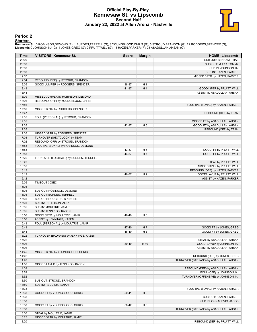## **Official Play-By-Play Kennesaw St. vs Lipscomb Second Half January 22, 2022 at Allen Arena - Nashville**



#### **Period 2**

**Starters:**<br>Kennesaw St.: 0 ROBINSON,DEMOND (F); 1 BURDEN,TERRELL (G); 3 YOUNGBLOOD,CHRIS (G); 5 STROUD,BRANDON (G); 22 RODGERS,SPENCER (G);<br>Lipscomb: 0 JOHNSON,KJ (G); 1 JONES,GREG (G); 2 PRUITT,WILL (G); 13 HAZEN,PARKER

| Time           | <b>VISITORS: Kennesaw St.</b>          | <b>Score</b>   | <b>Margin</b>                    | <b>HOME: Lipscomb</b>                  |
|----------------|----------------------------------------|----------------|----------------------------------|----------------------------------------|
| 20:00          |                                        |                |                                  | SUB OUT: BENHAM, TRAE                  |
| 20:00          |                                        |                |                                  | SUB OUT: MURR, TOMMY                   |
| 20:00          |                                        |                |                                  | SUB IN: JOHNSON, KJ                    |
| 20:00          |                                        |                |                                  | SUB IN: HAZEN, PARKER                  |
| 19:37          |                                        |                |                                  | MISSED 3PTR by HAZEN, PARKER           |
| 19:34          | REBOUND (DEF) by STROUD, BRANDON       |                |                                  |                                        |
| 19:05          | GOOD! JUMPER by RODGERS, SPENCER       | 38-37          | H <sub>1</sub>                   |                                        |
| 18:43          |                                        | 41-37          | H4                               | GOOD! 3PTR by PRUITT, WILL             |
| 18:43          |                                        |                |                                  | ASSIST by ASADULLAH, AHSAN             |
| 18:09          | MISSED JUMPER by ROBINSON, DEMOND      |                |                                  |                                        |
| 18:06          | REBOUND (OFF) by YOUNGBLOOD, CHRIS     |                |                                  |                                        |
| 17:56          |                                        |                |                                  | FOUL (PERSONAL) by HAZEN, PARKER       |
| 17:50          | MISSED 3PTR by RODGERS, SPENCER        |                |                                  |                                        |
| 17:47          |                                        |                |                                  | REBOUND (DEF) by TEAM                  |
| 17:35          | FOUL (PERSONAL) by STROUD, BRANDON     |                |                                  |                                        |
| 17:35          |                                        |                |                                  | MISSED FT by ASADULLAH, AHSAN          |
| 17:35          |                                        | 42-37          | H <sub>5</sub>                   | GOOD! FT by ASADULLAH, AHSAN           |
| 17:35          |                                        |                |                                  | REBOUND (OFF) by TEAM                  |
| 17:05          | MISSED 3PTR by RODGERS, SPENCER        |                |                                  |                                        |
| 17:03          | TURNOVER (SHOTCLOCK) by TEAM           |                |                                  |                                        |
| 17:02          | REBOUND (OFF) by STROUD, BRANDON       |                |                                  |                                        |
| 16:53          | FOUL (PERSONAL) by ROBINSON, DEMOND    |                |                                  | <b>GOOD! FT by PRUITT, WILL</b>        |
| 16:53<br>16:53 |                                        | 43-37<br>44-37 | H <sub>6</sub><br>H <sub>7</sub> | GOOD! FT by PRUITT, WILL               |
| 16:25          |                                        |                |                                  |                                        |
| 16:25          | TURNOVER (LOSTBALL) by BURDEN, TERRELL |                |                                  | STEAL by PRUITT, WILL                  |
| 16:16          |                                        |                |                                  | MISSED 3PTR by PRUITT, WILL            |
| 16:13          |                                        |                |                                  | REBOUND (OFF) by HAZEN, PARKER         |
| 16:12          |                                        | 46-37          | H9                               | GOOD! LAYUP by PRUITT, WILL            |
| 16:12          |                                        |                |                                  | ASSIST by HAZEN, PARKER                |
| 16:05          | TIMEOUT 30SEC                          |                |                                  |                                        |
| 16:05          |                                        |                |                                  |                                        |
| 16:05          | SUB OUT: ROBINSON, DEMOND              |                |                                  |                                        |
| 16:05          | SUB OUT: BURDEN, TERRELL               |                |                                  |                                        |
| 16:05          | SUB OUT: RODGERS, SPENCER              |                |                                  |                                        |
| 16:05          | SUB IN: PETERSON, ALEX                 |                |                                  |                                        |
| 16:05          | SUB IN: MOULTRIE, JAMIR                |                |                                  |                                        |
| 16:05          | SUB IN: JENNINGS, KASEN                |                |                                  |                                        |
| 15:56          | GOOD! 3PTR by MOULTRIE, JAMIR          | 46-40          | H <sub>6</sub>                   |                                        |
| 15:56          | ASSIST by JENNINGS, KASEN              |                |                                  |                                        |
| 15:43          | FOUL (PERSONAL) by MOULTRIE, JAMIR     |                |                                  |                                        |
| 15:43          |                                        | 47-40          | H 7                              | GOOD! FT by JONES, GREG                |
| 15:43          |                                        | 48-40          | H <sub>8</sub>                   | GOOD! FT by JONES, GREG                |
| 15:22          | TURNOVER (BADPASS) by JENNINGS, KASEN  |                |                                  |                                        |
| 15:22          |                                        |                |                                  | STEAL by ASADULLAH, AHSAN              |
| 15:06          |                                        | 50-40          | H 10                             | GOOD! LAYUP by JOHNSON, KJ             |
| 15:06          |                                        |                |                                  | ASSIST by ASADULLAH, AHSAN             |
| 14:45          | MISSED 3PTR by YOUNGBLOOD, CHRIS       |                |                                  |                                        |
| 14:42          |                                        |                |                                  | REBOUND (DEF) by JONES, GREG           |
| 14:26          |                                        |                |                                  | TURNOVER (BADPASS) by ASADULLAH, AHSAN |
| 14:06          | MISSED LAYUP by JENNINGS, KASEN        |                |                                  |                                        |
| 14:03          |                                        |                |                                  | REBOUND (DEF) by ASADULLAH, AHSAN      |
| 13:52          |                                        |                |                                  | FOUL (OFF) by JOHNSON, KJ              |
| 13:52          |                                        |                |                                  | TURNOVER (OFFENSIVE) by JOHNSON, KJ    |
| 13:50          | SUB OUT: STROUD, BRANDON               |                |                                  |                                        |
| 13:50          | SUB IN: REDDISH, ISAIAH                |                |                                  |                                        |
| 13:38          |                                        |                |                                  | FOUL (PERSONAL) by HAZEN, PARKER       |
| 13:38          | GOOD! FT by YOUNGBLOOD, CHRIS          | $50 - 41$      | H9                               |                                        |
| 13:38          |                                        |                |                                  | SUB OUT: HAZEN, PARKER                 |
| 13:38          |                                        |                |                                  | SUB IN: OGNACEVIC, JACOB               |
| 13:38          | GOOD! FT by YOUNGBLOOD, CHRIS          | 50-42          | H 8                              |                                        |
| 13:30          |                                        |                |                                  | TURNOVER (BADPASS) by ASADULLAH, AHSAN |
| 13:30          | STEAL by MOULTRIE, JAMIR               |                |                                  |                                        |
| 13:25          | MISSED 3PTR by MOULTRIE, JAMIR         |                |                                  |                                        |
| 13:20          |                                        |                |                                  | REBOUND (DEF) by PRUITT, WILL          |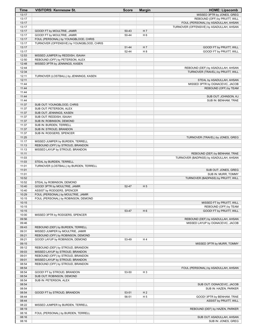| Time           | <b>VISITORS: Kennesaw St.</b>                                       | <b>Score</b> | <b>Margin</b>  | <b>HOME: Lipscomb</b>                            |
|----------------|---------------------------------------------------------------------|--------------|----------------|--------------------------------------------------|
| 13:17          |                                                                     |              |                | MISSED 3PTR by JONES, GREG                       |
| 13:17          |                                                                     |              |                | REBOUND (OFF) by PRUITT, WILL                    |
| 13:17          |                                                                     |              |                | FOUL (PERSONAL) by ASADULLAH, AHSAN              |
| 13:17          |                                                                     |              |                | TURNOVER (OFFENSIVE) by ASADULLAH, AHSAN         |
| 13:17          | GOOD! FT by MOULTRIE, JAMIR                                         | 50-43        | H <sub>7</sub> |                                                  |
| 13:17          | GOOD! FT by MOULTRIE, JAMIR                                         | 50-44        | H <sub>6</sub> |                                                  |
| 13:17<br>13:17 | FOUL (PERSONAL) by YOUNGBLOOD, CHRIS                                |              |                |                                                  |
| 13:17          | TURNOVER (OFFENSIVE) by YOUNGBLOOD, CHRIS                           | 51-44        | H <sub>7</sub> | GOOD! FT by PRUITT, WILL                         |
| 13:17          |                                                                     | 52-44        | H 8            | GOOD! FT by PRUITT, WILL                         |
| 12:53          | MISSED JUMPER by REDDISH, ISAIAH                                    |              |                |                                                  |
| 12:50          | REBOUND (OFF) by PETERSON, ALEX                                     |              |                |                                                  |
| 12:48          | MISSED 3PTR by JENNINGS, KASEN                                      |              |                |                                                  |
| 12:44          |                                                                     |              |                | REBOUND (DEF) by ASADULLAH, AHSAN                |
| 12:34          |                                                                     |              |                | TURNOVER (TRAVEL) by PRUITT, WILL                |
| 12:11          | TURNOVER (LOSTBALL) by JENNINGS, KASEN                              |              |                |                                                  |
| 12:11          |                                                                     |              |                | STEAL by ASADULLAH, AHSAN                        |
| 11:44          |                                                                     |              |                | MISSED 3PTR by OGNACEVIC, JACOB                  |
| 11:44          |                                                                     |              |                | REBOUND (OFF) by TEAM                            |
| 11:44          |                                                                     |              |                |                                                  |
| 11:44          |                                                                     |              |                | SUB OUT: JOHNSON, KJ                             |
| 11:44          |                                                                     |              |                | SUB IN: BENHAM, TRAE                             |
| 11:37          | SUB OUT: YOUNGBLOOD, CHRIS                                          |              |                |                                                  |
| 11:37<br>11:37 | SUB OUT: PETERSON, ALEX<br>SUB OUT: JENNINGS, KASEN                 |              |                |                                                  |
| 11:37          | SUB OUT: REDDISH, ISAIAH                                            |              |                |                                                  |
| 11:37          | SUB IN: ROBINSON, DEMOND                                            |              |                |                                                  |
| 11:37          | SUB IN: BURDEN, TERRELL                                             |              |                |                                                  |
| 11:37          | SUB IN: STROUD, BRANDON                                             |              |                |                                                  |
| 11:37          | SUB IN: RODGERS, SPENCER                                            |              |                |                                                  |
| 11:25          |                                                                     |              |                | TURNOVER (TRAVEL) by JONES, GREG                 |
| 11:17          | MISSED JUMPER by BURDEN, TERRELL                                    |              |                |                                                  |
| 11:13          | REBOUND (OFF) by STROUD, BRANDON                                    |              |                |                                                  |
| 11:13          | MISSED LAYUP by STROUD, BRANDON                                     |              |                |                                                  |
| 11:11          |                                                                     |              |                | REBOUND (DEF) by BENHAM, TRAE                    |
| 11:03          |                                                                     |              |                | TURNOVER (BADPASS) by ASADULLAH, AHSAN           |
| 11:03          | STEAL by BURDEN, TERRELL                                            |              |                |                                                  |
| 11:01          | TURNOVER (LOSTBALL) by BURDEN, TERRELL                              |              |                |                                                  |
| 11:01          |                                                                     |              |                | SUB OUT: JONES, GREG                             |
| 11:01          |                                                                     |              |                | SUB IN: MURR, TOMMY                              |
| 10:52<br>10:52 | STEAL by ROBINSON, DEMOND                                           |              |                | TURNOVER (BADPASS) by PRUITT, WILL               |
| 10:40          | GOOD! 3PTR by MOULTRIE, JAMIR                                       | 52-47        | H <sub>5</sub> |                                                  |
| 10:40          | ASSIST by RODGERS, SPENCER                                          |              |                |                                                  |
| 10:29          | FOUL (PERSONAL) by MOULTRIE, JAMIR                                  |              |                |                                                  |
| 10:15          | FOUL (PERSONAL) by ROBINSON, DEMOND                                 |              |                |                                                  |
| 10:15          |                                                                     |              |                | MISSED FT by PRUITT, WILL                        |
| 10:15          |                                                                     |              |                | REBOUND (OFF) by TEAM                            |
| 10:15          |                                                                     | 53-47        | H <sub>6</sub> | GOOD! FT by PRUITT, WILL                         |
| 10:00          | MISSED 3PTR by RODGERS, SPENCER                                     |              |                |                                                  |
| 09:56          |                                                                     |              |                | REBOUND (DEF) by ASADULLAH, AHSAN                |
| 09:46          |                                                                     |              |                | MISSED LAYUP by OGNACEVIC, JACOB                 |
| 09:43          | REBOUND (DEF) by BURDEN, TERRELL                                    |              |                |                                                  |
| 09:31          | MISSED JUMPER by MOULTRIE, JAMIR                                    |              |                |                                                  |
| 09:21          | REBOUND (OFF) by ROBINSON, DEMOND                                   |              |                |                                                  |
| 09:21          | GOOD! LAYUP by ROBINSON, DEMOND                                     | 53-49        | H4             |                                                  |
| 09:15          |                                                                     |              |                | MISSED 3PTR by MURR, TOMMY                       |
| 09:12<br>09:03 | REBOUND (DEF) by STROUD, BRANDON<br>MISSED LAYUP by STROUD, BRANDON |              |                |                                                  |
| 09:01          | REBOUND (OFF) by STROUD, BRANDON                                    |              |                |                                                  |
| 09:01          | MISSED LAYUP by STROUD, BRANDON                                     |              |                |                                                  |
| 08:54          | REBOUND (OFF) by STROUD, BRANDON                                    |              |                |                                                  |
| 08:54          |                                                                     |              |                | FOUL (PERSONAL) by ASADULLAH, AHSAN              |
| 08:54          | GOOD! FT by STROUD, BRANDON                                         | 53-50        | H <sub>3</sub> |                                                  |
| 08:54          | SUB OUT: ROBINSON, DEMOND                                           |              |                |                                                  |
| 08:54          | SUB IN: PETERSON, ALEX                                              |              |                |                                                  |
| 08:54          |                                                                     |              |                | SUB OUT: OGNACEVIC, JACOB                        |
| 08:54          |                                                                     |              |                | SUB IN: HAZEN, PARKER                            |
| 08:54          | GOOD! FT by STROUD, BRANDON                                         | 53-51        | H <sub>2</sub> |                                                  |
| 08:44          |                                                                     | 56-51        | H <sub>5</sub> | GOOD! 3PTR by BENHAM, TRAE                       |
| 08:44          |                                                                     |              |                | ASSIST by PRUITT, WILL                           |
| 08:22          | MISSED JUMPER by BURDEN, TERRELL                                    |              |                |                                                  |
| 08:19          |                                                                     |              |                | REBOUND (DEF) by HAZEN, PARKER                   |
| 08:16          | FOUL (PERSONAL) by BURDEN, TERRELL                                  |              |                |                                                  |
| 08:16<br>08:16 |                                                                     |              |                | SUB OUT: ASADULLAH, AHSAN<br>SUB IN: JONES, GREG |
|                |                                                                     |              |                |                                                  |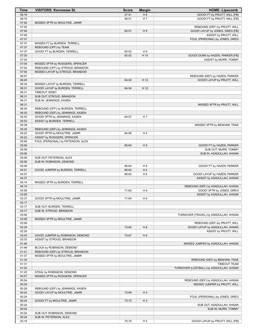| Time           | <b>VISITORS: Kennesaw St.</b>                                | <b>Score</b> | <b>Margin</b>  | <b>HOME: Lipscomb</b>                                            |
|----------------|--------------------------------------------------------------|--------------|----------------|------------------------------------------------------------------|
| 08:16          |                                                              | 57-51        | H <sub>6</sub> | GOOD! FT by PRUITT, WILL [FB]                                    |
| 08:16          |                                                              | 58-51        | H 7            | GOOD! FT by PRUITT, WILL [FB]                                    |
| 07:56          | MISSED 3PTR by MOULTRIE, JAMIR                               |              |                |                                                                  |
| 07:52          |                                                              |              |                | REBOUND (DEF) by PRUITT, WILL                                    |
| 07:48<br>07:48 |                                                              | 60-51        | H9             | GOOD! LAYUP by JONES, GREG [FB]                                  |
| 07:37          |                                                              |              |                | ASSIST by PRUITT, WILL<br>FOUL (PERSONAL) by JONES, GREG         |
| 07:37          | MISSED FT by BURDEN, TERRELL                                 |              |                |                                                                  |
| 07:37          | REBOUND (OFF) by TEAM                                        |              |                |                                                                  |
| 07:37          | GOOD! FT by BURDEN, TERRELL                                  | 60-52        | H <sub>8</sub> |                                                                  |
| 07:30          |                                                              | 62-52        | H 10           | GOOD! DUNK by HAZEN, PARKER [FB]                                 |
| 07:30          |                                                              |              |                | ASSIST by MURR, TOMMY                                            |
| 07:04          | MISSED 3PTR by RODGERS, SPENCER                              |              |                |                                                                  |
| 07:02          | REBOUND (OFF) by STROUD, BRANDON                             |              |                |                                                                  |
| 07:00          | MISSED LAYUP by STROUD, BRANDON                              |              |                |                                                                  |
| 06:57          |                                                              |              |                | REBOUND (DEF) by HAZEN, PARKER                                   |
| 06:45<br>06:34 | MISSED LAYUP by BURDEN, TERRELL                              | 64-52        | H 12           | GOOD! LAYUP by PRUITT, WILL                                      |
| 06:31          | GOOD! LAYUP by BURDEN, TERRELL                               | 64-54        | H 10           |                                                                  |
| 06:31          | TIMEOUT 30SEC                                                |              |                |                                                                  |
| 06:31          | SUB OUT: STROUD, BRANDON                                     |              |                |                                                                  |
| 06:31          | SUB IN: JENNINGS, KASEN                                      |              |                |                                                                  |
| 06:31          |                                                              |              |                | MISSED 3PTR by PRUITT, WILL                                      |
| 06:30          | REBOUND (OFF) by BURDEN, TERRELL                             |              |                |                                                                  |
| 06:30          | REBOUND (DEF) by JENNINGS, KASEN                             |              |                |                                                                  |
| 05:53          | GOOD! 3PTR by JENNINGS, KASEN                                | 64-57        | H 7            |                                                                  |
| 05:53          | ASSIST by BURDEN, TERRELL                                    |              |                |                                                                  |
| 05:39          |                                                              |              |                | MISSED 3PTR by BENHAM, TRAE                                      |
| 05:35          | REBOUND (DEF) by JENNINGS, KASEN                             |              |                |                                                                  |
| 05:23<br>05:23 | GOOD! 3PTR by MOULTRIE, JAMIR<br>ASSIST by RODGERS, SPENCER  | 64-60        | H 4            |                                                                  |
| 05:06          | FOUL (PERSONAL) by PETERSON, ALEX                            |              |                |                                                                  |
| 05:06          |                                                              | 65-60        | H <sub>5</sub> | GOOD! FT by HAZEN, PARKER                                        |
| 05:06          |                                                              |              |                | SUB OUT: MURR, TOMMY                                             |
| 05:06          |                                                              |              |                | SUB IN: ASADULLAH, AHSAN                                         |
| 05:06          | SUB OUT: PETERSON, ALEX                                      |              |                |                                                                  |
| 05:06          | SUB IN: ROBINSON, DEMOND                                     |              |                |                                                                  |
| 05:06          |                                                              | 66-60        | H <sub>6</sub> | GOOD! FT by HAZEN, PARKER                                        |
| 04:51          | GOOD! JUMPER by BURDEN, TERRELL                              | 66-62        | H4             |                                                                  |
| 04:37          |                                                              | 68-62        | H <sub>6</sub> | GOOD! LAYUP by HAZEN, PARKER                                     |
| 04:37<br>04:14 | MISSED 3PTR by BURDEN, TERRELL                               |              |                | ASSIST by ASADULLAH, AHSAN                                       |
| 04:10          |                                                              |              |                | REBOUND (DEF) by ASADULLAH, AHSAN                                |
| 03:58          |                                                              | 71-62        | H9             | GOOD! 3PTR by JONES, GREG                                        |
| 03:58          |                                                              |              |                | ASSIST by ASADULLAH, AHSAN                                       |
| 03:37          | GOOD! 3PTR by MOULTRIE, JAMIR                                | 71-65        | H <sub>6</sub> |                                                                  |
| 03:17          |                                                              |              |                |                                                                  |
| 03:17          | SUB OUT: BURDEN, TERRELL                                     |              |                |                                                                  |
| 03:17          | SUB IN: STROUD, BRANDON                                      |              |                |                                                                  |
| 03:06          |                                                              |              |                | TURNOVER (TRAVEL) by ASADULLAH, AHSAN                            |
| 03:06          | MISSED 3PTR by MOULTRIE, JAMIR                               |              |                |                                                                  |
| 03:06<br>02:29 |                                                              | 73-65        | H <sub>8</sub> | REBOUND (DEF) by PRUITT, WILL<br>GOOD! LAYUP by ASADULLAH, AHSAN |
| 02:29          |                                                              |              |                | <b>ASSIST by PRUITT, WILL</b>                                    |
| 02:03          | GOOD! JUMPER by ROBINSON, DEMOND                             | 73-67        | H <sub>6</sub> |                                                                  |
| 02:03          | ASSIST by STROUD, BRANDON                                    |              |                |                                                                  |
| 01:46          |                                                              |              |                | MISSED JUMPER by ASADULLAH, AHSAN                                |
| 01:46          | BLOCK by ROBINSON, DEMOND                                    |              |                |                                                                  |
| 01:41          | REBOUND (DEF) by STROUD, BRANDON                             |              |                |                                                                  |
| 01:37          | MISSED 3PTR by MOULTRIE, JAMIR                               |              |                |                                                                  |
| 01:33          |                                                              |              |                | REBOUND (DEF) by BENHAM, TRAE                                    |
| 01:31          |                                                              |              |                | <b>TIMEOUT TEAM</b>                                              |
| 01:20          |                                                              |              |                | TURNOVER (LOSTBALL) by ASADULLAH, AHSAN                          |
| 01:20<br>00:57 | STEAL by ROBINSON, DEMOND<br>MISSED 3PTR by RODGERS, SPENCER |              |                |                                                                  |
| 00:54          |                                                              |              |                | REBOUND (DEF) by ASADULLAH, AHSAN                                |
| 00:29          |                                                              |              |                | MISSED JUMPER by PRUITT, WILL                                    |
| 00:26          | REBOUND (DEF) by JENNINGS, KASEN                             |              |                |                                                                  |
| 00:24          | GOOD! LAYUP by MOULTRIE, JAMIR                               | 73-69        | H4             |                                                                  |
| 00:24          |                                                              |              |                | FOUL (PERSONAL) by JONES, GREG                                   |
| 00:24          | GOOD! FT by MOULTRIE, JAMIR                                  | 73-70        | $H_3$          |                                                                  |
| 00:24          |                                                              |              |                | SUB OUT: ASADULLAH, AHSAN                                        |
| 00:24          |                                                              |              |                | SUB IN: MURR, TOMMY                                              |
| 00:24          | SUB OUT: ROBINSON, DEMOND                                    |              |                |                                                                  |
| 00:24          | SUB IN: PETERSON, ALEX                                       |              |                |                                                                  |
| 00:18          |                                                              | 75-70        | H <sub>5</sub> | GOOD! LAYUP by PRUITT, WILL [FB]                                 |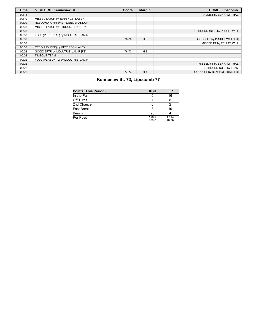| <b>Time</b> | <b>VISITORS: Kennesaw St.</b>      | <b>Score</b> | <b>Margin</b>  | <b>HOME: Lipscomb</b>         |
|-------------|------------------------------------|--------------|----------------|-------------------------------|
| 00:18       |                                    |              |                | ASSIST by BENHAM, TRAE        |
| 00:10       | MISSED LAYUP by JENNINGS, KASEN    |              |                |                               |
| 00:09       | REBOUND (OFF) by STROUD, BRANDON   |              |                |                               |
| 00:08       | MISSED LAYUP by STROUD, BRANDON    |              |                |                               |
| 00:08       |                                    |              |                | REBOUND (DEF) by PRUITT, WILL |
| 00:08       | FOUL (PERSONAL) by MOULTRIE, JAMIR |              |                |                               |
| 00:08       |                                    | 76-70        | $H_6$          | GOOD! FT by PRUITT, WILL [FB] |
| 00:08       |                                    |              |                | MISSED FT by PRUITT, WILL     |
| 00:08       | REBOUND (DEF) by PETERSON, ALEX    |              |                |                               |
| 00:02       | GOOD! 3PTR by MOULTRIE, JAMIR [FB] | 76-73        | $H_3$          |                               |
| 00:02       | <b>TIMEOUT TEAM</b>                |              |                |                               |
| 00:02       | FOUL (PERSONAL) by MOULTRIE, JAMIR |              |                |                               |
| 00:02       |                                    |              |                | MISSED FT by BENHAM, TRAE     |
| 00:02       |                                    |              |                | REBOUND (OFF) by TEAM         |
| 00:02       |                                    | $77 - 73$    | H <sub>4</sub> | GOOD! FT by BENHAM, TRAE [FB] |

# **Kennesaw St. 73, Lipscomb 77**

| <b>Points (This Period)</b> | <b>KSU</b>     | LIP            |
|-----------------------------|----------------|----------------|
| In the Paint                | 6              | 16             |
| Off Turns                   |                |                |
| 2nd Chance                  | 6              |                |
| <b>Fast Break</b>           | 3              | 10             |
| Bench                       | 23             |                |
| Per Poss                    | 1.027<br>16/37 | 1.114<br>18/35 |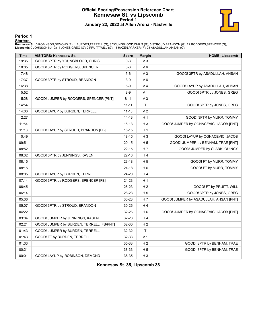# **Official Scoring/Possession Reference Chart Kennesaw St. vs Lipscomb Period 1 January 22, 2022 at Allen Arena - Nashville**



**Period 1**

#### **Starters:**

**Kennesaw St.**: 0 ROBINSON,DEMOND (F); 1 BURDEN,TERRELL (G); 3 YOUNGBLOOD,CHRIS (G); 5 STROUD,BRANDON (G); 22 RODGERS,SPENCER (G);<br>**Lipscomb**: 0 JOHNSON,KJ (G); 1 JONES,GREG (G); 2 PRUITT,WILL (G); 13 HAZEN,PARKER (F); 23

| <b>Time</b> | <b>VISITORS: Kennesaw St.</b>            | <b>Score</b> | <b>Margin</b>  | <b>HOME: Lipscomb</b>                  |
|-------------|------------------------------------------|--------------|----------------|----------------------------------------|
| 19:35       | GOOD! 3PTR by YOUNGBLOOD, CHRIS          | $0 - 3$      | V <sub>3</sub> |                                        |
| 18:05       | GOOD! 3PTR by RODGERS, SPENCER           | $0-6$        | $V_6$          |                                        |
| 17:48       |                                          | $3-6$        | V <sub>3</sub> | GOOD! 3PTR by ASADULLAH, AHSAN         |
| 17:37       | GOOD! 3PTR by STROUD, BRANDON            | $3-9$        | $V_6$          |                                        |
| 16:38       |                                          | $5-9$        | V <sub>4</sub> | GOOD! LAYUP by ASADULLAH, AHSAN        |
| 15:52       |                                          | $8 - 9$      | V <sub>1</sub> | GOOD! 3PTR by JONES, GREG              |
| 15:28       | GOOD! JUMPER by RODGERS, SPENCER [PNT]   | $8 - 11$     | V <sub>3</sub> |                                        |
| 14:54       |                                          | $11 - 11$    | T              | GOOD! 3PTR by JONES, GREG              |
| 14:06       | GOOD! LAYUP by BURDEN, TERRELL           | $11 - 13$    | V <sub>2</sub> |                                        |
| 12:27       |                                          | $14 - 13$    | H <sub>1</sub> | GOOD! 3PTR by MURR, TOMMY              |
| 11:54       |                                          | 16-13        | $H_3$          | GOOD! JUMPER by OGNACEVIC, JACOB [PNT] |
| 11:13       | GOOD! LAYUP by STROUD, BRANDON [FB]      | $16 - 15$    | H <sub>1</sub> |                                        |
| 10:49       |                                          | $18 - 15$    | $H_3$          | GOOD! LAYUP by OGNACEVIC, JACOB        |
| 09:51       |                                          | $20 - 15$    | H <sub>5</sub> | GOOD! JUMPER by BENHAM, TRAE [PNT]     |
| 08:52       |                                          | $22 - 15$    | H <sub>7</sub> | GOOD! JUMPER by CLARK, QUINCY          |
| 08:32       | GOOD! 3PTR by JENNINGS, KASEN            | $22 - 18$    | H4             |                                        |
| 08:15       |                                          | 23-18        | H <sub>5</sub> | GOOD! FT by MURR, TOMMY                |
| 08:15       |                                          | 24-18        | H <sub>6</sub> | GOOD! FT by MURR, TOMMY                |
| 08:05       | GOOD! LAYUP by BURDEN, TERRELL           | 24-20        | H <sub>4</sub> |                                        |
| 07:14       | GOOD! 3PTR by RODGERS, SPENCER [FB]      | 24-23        | H <sub>1</sub> |                                        |
| 06:45       |                                          | 25-23        | H <sub>2</sub> | GOOD! FT by PRUITT, WILL               |
| 06:14       |                                          | 28-23        | H <sub>5</sub> | GOOD! 3PTR by JONES, GREG              |
| 05:36       |                                          | 30-23        | H 7            | GOOD! JUMPER by ASADULLAH, AHSAN [PNT] |
| 05:07       | GOOD! 3PTR by STROUD, BRANDON            | 30-26        | H4             |                                        |
| 04:22       |                                          | 32-26        | H <sub>6</sub> | GOOD! JUMPER by OGNACEVIC, JACOB [PNT] |
| 03:04       | GOOD! JUMPER by JENNINGS, KASEN          | 32-28        | H4             |                                        |
| 02:21       | GOOD! JUMPER by BURDEN, TERRELL [FB/PNT] | 32-30        | H <sub>2</sub> |                                        |
| 01:43       | GOOD! JUMPER by BURDEN, TERRELL          | 32-32        | T              |                                        |
| 01:43       | GOOD! FT by BURDEN, TERRELL              | 32-33        | V <sub>1</sub> |                                        |
| 01:33       |                                          | 35-33        | H <sub>2</sub> | GOOD! 3PTR by BENHAM, TRAE             |
| 00:21       |                                          | 38-33        | H <sub>5</sub> | GOOD! 3PTR by BENHAM, TRAE             |
| 00:01       | GOOD! LAYUP by ROBINSON, DEMOND          | 38-35        | $H_3$          |                                        |

**Kennesaw St. 35, Lipscomb 38**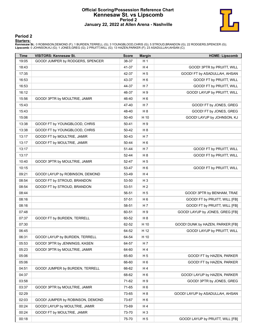# **Official Scoring/Possession Reference Chart Kennesaw St. vs Lipscomb Period 2 January 22, 2022 at Allen Arena - Nashville**



**Period 2**

#### **Starters:**

**Kennesaw St.**: 0 ROBINSON,DEMOND (F); 1 BURDEN,TERRELL (G); 3 YOUNGBLOOD,CHRIS (G); 5 STROUD,BRANDON (G); 22 RODGERS,SPENCER (G);<br>**Lipscomb**: 0 JOHNSON,KJ (G); 1 JONES,GREG (G); 2 PRUITT,WILL (G); 13 HAZEN,PARKER (F); 23

| <b>Time</b> | <b>VISITORS: Kennesaw St.</b>    | <b>Score</b> | <b>Margin</b>  | <b>HOME: Lipscomb</b>            |
|-------------|----------------------------------|--------------|----------------|----------------------------------|
| 19:05       | GOOD! JUMPER by RODGERS, SPENCER | 38-37        | H <sub>1</sub> |                                  |
| 18:43       |                                  | 41-37        | H 4            | GOOD! 3PTR by PRUITT, WILL       |
| 17:35       |                                  | 42-37        | H <sub>5</sub> | GOOD! FT by ASADULLAH, AHSAN     |
| 16:53       |                                  | 43-37        | H <sub>6</sub> | GOOD! FT by PRUITT, WILL         |
| 16:53       |                                  | 44-37        | H 7            | GOOD! FT by PRUITT, WILL         |
| 16:12       |                                  | 46-37        | H <sub>9</sub> | GOOD! LAYUP by PRUITT, WILL      |
| 15:56       | GOOD! 3PTR by MOULTRIE, JAMIR    | 46-40        | H <sub>6</sub> |                                  |
| 15:43       |                                  | 47-40        | H 7            | GOOD! FT by JONES, GREG          |
| 15:43       |                                  | 48-40        | H <sub>8</sub> | GOOD! FT by JONES, GREG          |
| 15:06       |                                  | 50-40        | H 10           | GOOD! LAYUP by JOHNSON, KJ       |
| 13:38       | GOOD! FT by YOUNGBLOOD, CHRIS    | $50 - 41$    | H9             |                                  |
| 13:38       | GOOD! FT by YOUNGBLOOD, CHRIS    | 50-42        | H <sub>8</sub> |                                  |
| 13:17       | GOOD! FT by MOULTRIE, JAMIR      | 50-43        | H 7            |                                  |
| 13:17       | GOOD! FT by MOULTRIE, JAMIR      | 50-44        | H <sub>6</sub> |                                  |
| 13:17       |                                  | 51-44        | H 7            | GOOD! FT by PRUITT, WILL         |
| 13:17       |                                  | 52-44        | H <sub>8</sub> | GOOD! FT by PRUITT, WILL         |
| 10:40       | GOOD! 3PTR by MOULTRIE, JAMIR    | 52-47        | H <sub>5</sub> |                                  |
| 10:15       |                                  | 53-47        | H <sub>6</sub> | GOOD! FT by PRUITT, WILL         |
| 09:21       | GOOD! LAYUP by ROBINSON, DEMOND  | 53-49        | H4             |                                  |
| 08:54       | GOOD! FT by STROUD, BRANDON      | 53-50        | $H_3$          |                                  |
| 08:54       | GOOD! FT by STROUD, BRANDON      | 53-51        | H <sub>2</sub> |                                  |
| 08:44       |                                  | 56-51        | H <sub>5</sub> | GOOD! 3PTR by BENHAM, TRAE       |
| 08:16       |                                  | 57-51        | H <sub>6</sub> | GOOD! FT by PRUITT, WILL [FB]    |
| 08:16       |                                  | 58-51        | H 7            | GOOD! FT by PRUITT, WILL [FB]    |
| 07:48       |                                  | 60-51        | H 9            | GOOD! LAYUP by JONES, GREG [FB]  |
| 07:37       | GOOD! FT by BURDEN, TERRELL      | 60-52        | H <sub>8</sub> |                                  |
| 07:30       |                                  | 62-52        | H 10           | GOOD! DUNK by HAZEN, PARKER [FB] |
| 06:45       |                                  | 64-52        | H 12           | GOOD! LAYUP by PRUITT, WILL      |
| 06:31       | GOOD! LAYUP by BURDEN, TERRELL   | 64-54        | H 10           |                                  |
| 05:53       | GOOD! 3PTR by JENNINGS, KASEN    | 64-57        | H 7            |                                  |
| 05:23       | GOOD! 3PTR by MOULTRIE, JAMIR    | 64-60        | H 4            |                                  |
| 05:06       |                                  | 65-60        | H <sub>5</sub> | GOOD! FT by HAZEN, PARKER        |
| 05:06       |                                  | 66-60        | H <sub>6</sub> | GOOD! FT by HAZEN, PARKER        |
| 04:51       | GOOD! JUMPER by BURDEN, TERRELL  | 66-62        | H 4            |                                  |
| 04:37       |                                  | 68-62        | H <sub>6</sub> | GOOD! LAYUP by HAZEN, PARKER     |
| 03:58       |                                  | 71-62        | H 9            | GOOD! 3PTR by JONES, GREG        |
| 03:37       | GOOD! 3PTR by MOULTRIE, JAMIR    | 71-65        | H <sub>6</sub> |                                  |
| 02:29       |                                  | 73-65        | H <sub>8</sub> | GOOD! LAYUP by ASADULLAH, AHSAN  |
| 02:03       | GOOD! JUMPER by ROBINSON, DEMOND | 73-67        | H <sub>6</sub> |                                  |
| 00:24       | GOOD! LAYUP by MOULTRIE, JAMIR   | 73-69        | H 4            |                                  |
| 00:24       | GOOD! FT by MOULTRIE, JAMIR      | 73-70        | $H_3$          |                                  |
| 00:18       |                                  | 75-70        | H <sub>5</sub> | GOOD! LAYUP by PRUITT, WILL [FB] |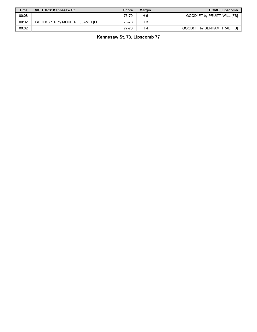| <b>Time</b> | <b>VISITORS: Kennesaw St.</b>      | <b>Score</b> | <b>Margin</b>  | <b>HOME: Lipscomb</b>         |
|-------------|------------------------------------|--------------|----------------|-------------------------------|
| 00:08       |                                    | 76-70        | H 6            | GOOD! FT by PRUITT, WILL [FB] |
| 00:02       | GOOD! 3PTR by MOULTRIE, JAMIR [FB] | 76-73        | $H_3$          |                               |
| 00:02       |                                    | 77-73        | H <sub>4</sub> | GOOD! FT by BENHAM, TRAE [FB] |

**Kennesaw St. 73, Lipscomb 77**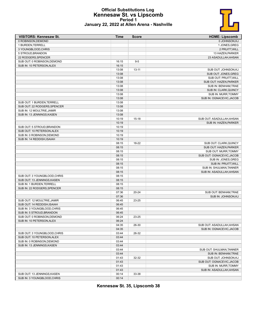# **Official Substitutions Log Kennesaw St. vs Lipscomb Period 1 January 22, 2022 at Allen Arena - Nashville**



| <b>VISITORS: Kennesaw St.</b> | <b>Time</b>    | <b>Score</b> | <b>HOME: Lipscomb</b>     |
|-------------------------------|----------------|--------------|---------------------------|
| 0 ROBINSON, DEMOND            |                |              | 0 JOHNSON, KJ             |
| 1 BURDEN, TERRELL             |                |              | 1 JONES, GREG             |
| 3 YOUNGBLOOD, CHRIS           |                |              | 2 PRUITT, WILL            |
| 5 STROUD, BRANDON             |                |              | 13 HAZEN, PARKER          |
| 22 RODGERS, SPENCER           |                |              | 23 ASADULLAH, AHSAN       |
| SUB OUT: 0 ROBINSON, DEMOND   | 16:15          | $9 - 5$      |                           |
| SUB IN: 10 PETERSON.ALEX      | 16:15          |              |                           |
|                               | 13:08          | $13 - 11$    | SUB OUT: JOHNSON, KJ      |
|                               | 13:08          |              | SUB OUT: JONES, GREG      |
|                               | 13:08          |              | SUB OUT: PRUITT, WILL     |
|                               | 13:08          |              | SUB OUT: HAZEN, PARKER    |
|                               | 13:08          |              | SUB IN: BENHAM, TRAE      |
|                               | 13:08          |              | SUB IN: CLARK, QUINCY     |
|                               | 13:08          |              | SUB IN: MURR, TOMMY       |
|                               | 13:08          |              | SUB IN: OGNACEVIC, JACOB  |
| SUB OUT: 1 BURDEN, TERRELL    | 13:08          |              |                           |
| SUB OUT: 22 RODGERS, SPENCER  | 13:08          |              |                           |
| SUB IN: 12 MOULTRIE, JAMIR    | 13:08          |              |                           |
| SUB IN: 13 JENNINGS, KASEN    | 13:08          |              |                           |
|                               | 10:19          | $15 - 18$    | SUB OUT: ASADULLAH, AHSAN |
|                               | 10:19          |              | SUB IN: HAZEN.PARKER      |
| SUB OUT: 5 STROUD, BRANDON    | 10:19          |              |                           |
| SUB OUT: 10 PETERSON, ALEX    | 10:19          |              |                           |
| SUB IN: 0 ROBINSON, DEMOND    |                |              |                           |
| SUB IN: 14 REDDISH, ISAIAH    | 10:19<br>10:19 |              |                           |
|                               |                | 18-22        | SUB OUT: CLARK, QUINCY    |
|                               | 08:15<br>08:15 |              |                           |
|                               |                |              | SUB OUT: HAZEN, PARKER    |
|                               | 08:15          |              | SUB OUT: MURR, TOMMY      |
|                               | 08:15          |              | SUB OUT: OGNACEVIC, JACOB |
|                               | 08:15          |              | SUB IN: JONES, GREG       |
|                               | 08:15          |              | SUB IN: PRUITT, WILL      |
|                               | 08:15          |              | SUB IN: SHULMAN, TANNER   |
|                               | 08:15          |              | SUB IN: ASADULLAH, AHSAN  |
| SUB OUT: 3 YOUNGBLOOD, CHRIS  | 08:15          |              |                           |
| SUB OUT: 13 JENNINGS, KASEN   | 08:15          |              |                           |
| SUB IN: 1 BURDEN, TERRELL     | 08:15          |              |                           |
| SUB IN: 22 RODGERS, SPENCER   | 08:15          |              |                           |
|                               | 07:36          | $20 - 24$    | SUB OUT: BENHAM, TRAE     |
|                               | 07:36          |              | SUB IN: JOHNSON, KJ       |
| SUB OUT: 12 MOULTRIE, JAMIR   | 06:45          | 23-25        |                           |
| SUB OUT: 14 REDDISH.ISAIAH    | 06:45          |              |                           |
| SUB IN: 3 YOUNGBLOOD, CHRIS   | 06:45          |              |                           |
| SUB IN: 5 STROUD.BRANDON      | 06:45          |              |                           |
| SUB OUT: 0 ROBINSON, DEMOND   | 06:24          | 23-25        |                           |
| SUB IN: 10 PETERSON, ALEX     | 06:24          |              |                           |
|                               | 04:35          | 26-30        | SUB OUT: ASADULLAH, AHSAN |
|                               | 04:35          |              | SUB IN: OGNACEVIC, JACOB  |
| SUB OUT: 3 YOUNGBLOOD, CHRIS  | 03:44          | 26-32        |                           |
| SUB OUT: 10 PETERSON, ALEX    | 03:44          |              |                           |
| SUB IN: 0 ROBINSON, DEMOND    | 03:44          |              |                           |
| SUB IN: 13 JENNINGS, KASEN    | 03:44          |              |                           |
|                               | 03:44          |              | SUB OUT: SHULMAN, TANNER  |
|                               | 03:44          |              | SUB IN: BENHAM, TRAE      |
|                               | 01:43          | 32-32        | SUB OUT: JOHNSON, KJ      |
|                               | 01:43          |              | SUB OUT: OGNACEVIC, JACOB |
|                               | 01:43          |              | SUB IN: MURR, TOMMY       |
|                               | 01:43          |              | SUB IN: ASADULLAH, AHSAN  |
| SUB OUT: 13 JENNINGS, KASEN   | 00:14          | 33-38        |                           |
| SUB IN: 3 YOUNGBLOOD, CHRIS   | 00:14          |              |                           |

**Kennesaw St. 35, Lipscomb 38**